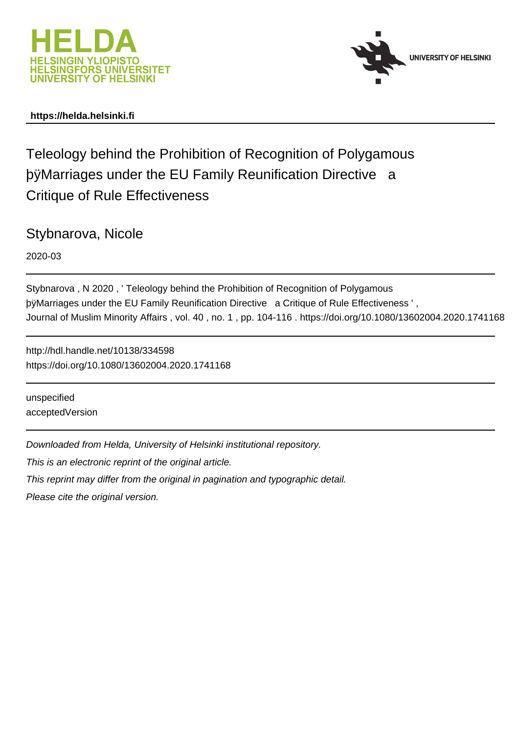



### **https://helda.helsinki.fi**

Teleology behind the Prohibition of Recognition of Polygamous þÿMarriages under the EU Family Reunification Di Critique of Rule Effectiveness

Stybnarova, Nicole

2020-03

Stybnarova , N 2020 , ' Teleology behind the Prohibition of Recognition of Polygamous by Marriages under the EU Family Reunification Directive a Critique of Journal of Muslim Minority Affairs , vol. 40 , no. 1 , pp. 104-116 . https://doi.org/10.1080/13602004.2020.1741168

http://hdl.handle.net/10138/334598 https://doi.org/10.1080/13602004.2020.1741168

unspecified acceptedVersion

Downloaded from Helda, University of Helsinki institutional repository.

This is an electronic reprint of the original article.

This reprint may differ from the original in pagination and typographic detail.

Please cite the original version.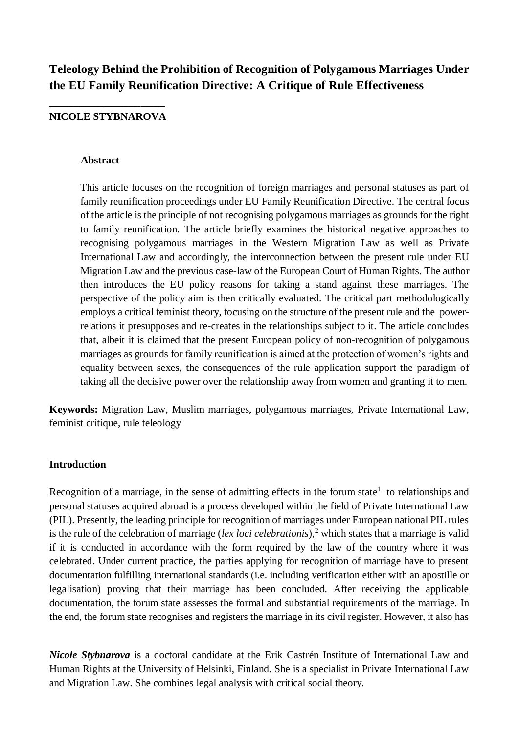# **Teleology Behind the Prohibition of Recognition of Polygamous Marriages Under the EU Family Reunification Directive: A Critique of Rule Effectiveness**

# **\_\_\_\_\_\_\_\_\_\_\_\_\_\_\_\_\_\_\_ NICOLE STYBNAROVA**

#### **Abstract**

This article focuses on the recognition of foreign marriages and personal statuses as part of family reunification proceedings under EU Family Reunification Directive. The central focus of the article is the principle of not recognising polygamous marriages as grounds for the right to family reunification. The article briefly examines the historical negative approaches to recognising polygamous marriages in the Western Migration Law as well as Private International Law and accordingly, the interconnection between the present rule under EU Migration Law and the previous case-law of the European Court of Human Rights. The author then introduces the EU policy reasons for taking a stand against these marriages. The perspective of the policy aim is then critically evaluated. The critical part methodologically employs a critical feminist theory, focusing on the structure of the present rule and the powerrelations it presupposes and re-creates in the relationships subject to it. The article concludes that, albeit it is claimed that the present European policy of non-recognition of polygamous marriages as grounds for family reunification is aimed at the protection of women's rights and equality between sexes, the consequences of the rule application support the paradigm of taking all the decisive power over the relationship away from women and granting it to men.

**Keywords:** Migration Law, Muslim marriages, polygamous marriages, Private International Law, feminist critique, rule teleology

### **Introduction**

Recognition of a marriage, in the sense of admitting effects in the forum state<sup>1</sup> to relationships and personal statuses acquired abroad is a process developed within the field of Private International Law (PIL). Presently, the leading principle for recognition of marriages under European national PIL rules is the rule of the celebration of marriage (*lex loci celebrationis*), <sup>2</sup> which states that a marriage is valid if it is conducted in accordance with the form required by the law of the country where it was celebrated. Under current practice, the parties applying for recognition of marriage have to present documentation fulfilling international standards (i.e. including verification either with an apostille or legalisation) proving that their marriage has been concluded. After receiving the applicable documentation, the forum state assesses the formal and substantial requirements of the marriage. In the end, the forum state recognises and registers the marriage in its civil register. However, it also has

*Nicole Stybnarova* is a doctoral candidate at the Erik Castrén Institute of International Law and Human Rights at the University of Helsinki, Finland. She is a specialist in Private International Law and Migration Law. She combines legal analysis with critical social theory.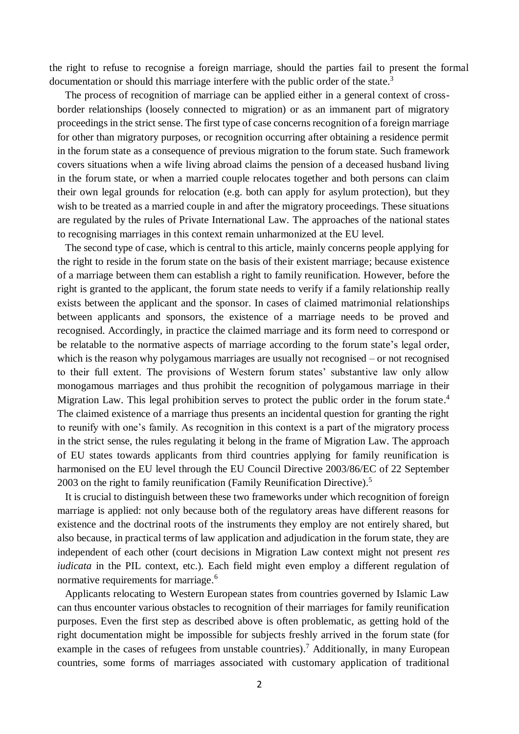the right to refuse to recognise a foreign marriage, should the parties fail to present the formal documentation or should this marriage interfere with the public order of the state.<sup>3</sup>

The process of recognition of marriage can be applied either in a general context of crossborder relationships (loosely connected to migration) or as an immanent part of migratory proceedings in the strict sense. The first type of case concerns recognition of a foreign marriage for other than migratory purposes, or recognition occurring after obtaining a residence permit in the forum state as a consequence of previous migration to the forum state. Such framework covers situations when a wife living abroad claims the pension of a deceased husband living in the forum state, or when a married couple relocates together and both persons can claim their own legal grounds for relocation (e.g. both can apply for asylum protection), but they wish to be treated as a married couple in and after the migratory proceedings. These situations are regulated by the rules of Private International Law. The approaches of the national states to recognising marriages in this context remain unharmonized at the EU level.

The second type of case, which is central to this article, mainly concerns people applying for the right to reside in the forum state on the basis of their existent marriage; because existence of a marriage between them can establish a right to family reunification. However, before the right is granted to the applicant, the forum state needs to verify if a family relationship really exists between the applicant and the sponsor. In cases of claimed matrimonial relationships between applicants and sponsors, the existence of a marriage needs to be proved and recognised. Accordingly, in practice the claimed marriage and its form need to correspond or be relatable to the normative aspects of marriage according to the forum state's legal order, which is the reason why polygamous marriages are usually not recognised – or not recognised to their full extent. The provisions of Western forum states' substantive law only allow monogamous marriages and thus prohibit the recognition of polygamous marriage in their Migration Law. This legal prohibition serves to protect the public order in the forum state.<sup>4</sup> The claimed existence of a marriage thus presents an incidental question for granting the right to reunify with one's family. As recognition in this context is a part of the migratory process in the strict sense, the rules regulating it belong in the frame of Migration Law. The approach of EU states towards applicants from third countries applying for family reunification is harmonised on the EU level through the EU Council Directive 2003/86/EC of 22 September 2003 on the right to family reunification (Family Reunification Directive). 5

It is crucial to distinguish between these two frameworks under which recognition of foreign marriage is applied: not only because both of the regulatory areas have different reasons for existence and the doctrinal roots of the instruments they employ are not entirely shared, but also because, in practical terms of law application and adjudication in the forum state, they are independent of each other (court decisions in Migration Law context might not present *res iudicata* in the PIL context, etc.). Each field might even employ a different regulation of normative requirements for marriage.<sup>6</sup>

Applicants relocating to Western European states from countries governed by Islamic Law can thus encounter various obstacles to recognition of their marriages for family reunification purposes. Even the first step as described above is often problematic, as getting hold of the right documentation might be impossible for subjects freshly arrived in the forum state (for example in the cases of refugees from unstable countries).<sup>7</sup> Additionally, in many European countries, some forms of marriages associated with customary application of traditional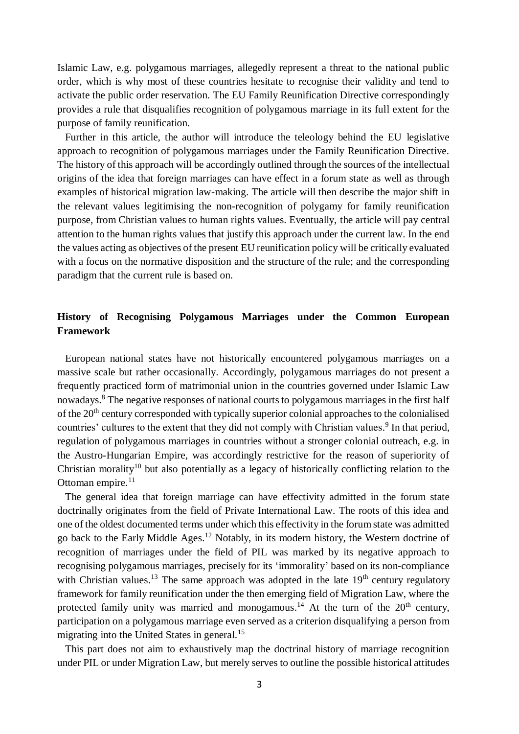Islamic Law, e.g. polygamous marriages, allegedly represent a threat to the national public order, which is why most of these countries hesitate to recognise their validity and tend to activate the public order reservation. The EU Family Reunification Directive correspondingly provides a rule that disqualifies recognition of polygamous marriage in its full extent for the purpose of family reunification.

Further in this article, the author will introduce the teleology behind the EU legislative approach to recognition of polygamous marriages under the Family Reunification Directive. The history of this approach will be accordingly outlined through the sources of the intellectual origins of the idea that foreign marriages can have effect in a forum state as well as through examples of historical migration law-making. The article will then describe the major shift in the relevant values legitimising the non-recognition of polygamy for family reunification purpose, from Christian values to human rights values. Eventually, the article will pay central attention to the human rights values that justify this approach under the current law. In the end the values acting as objectives of the present EU reunification policy will be critically evaluated with a focus on the normative disposition and the structure of the rule; and the corresponding paradigm that the current rule is based on.

## **History of Recognising Polygamous Marriages under the Common European Framework**

European national states have not historically encountered polygamous marriages on a massive scale but rather occasionally. Accordingly, polygamous marriages do not present a frequently practiced form of matrimonial union in the countries governed under Islamic Law nowadays.<sup>8</sup> The negative responses of national courts to polygamous marriages in the first half of the 20<sup>th</sup> century corresponded with typically superior colonial approaches to the colonialised countries' cultures to the extent that they did not comply with Christian values.<sup>9</sup> In that period, regulation of polygamous marriages in countries without a stronger colonial outreach, e.g. in the Austro-Hungarian Empire, was accordingly restrictive for the reason of superiority of Christian morality<sup>10</sup> but also potentially as a legacy of historically conflicting relation to the Ottoman empire.<sup>11</sup>

The general idea that foreign marriage can have effectivity admitted in the forum state doctrinally originates from the field of Private International Law. The roots of this idea and one of the oldest documented terms under which this effectivity in the forum state was admitted go back to the Early Middle Ages. <sup>12</sup> Notably, in its modern history, the Western doctrine of recognition of marriages under the field of PIL was marked by its negative approach to recognising polygamous marriages, precisely for its 'immorality' based on its non-compliance with Christian values.<sup>13</sup> The same approach was adopted in the late  $19<sup>th</sup>$  century regulatory framework for family reunification under the then emerging field of Migration Law, where the protected family unity was married and monogamous.<sup>14</sup> At the turn of the  $20<sup>th</sup>$  century, participation on a polygamous marriage even served as a criterion disqualifying a person from migrating into the United States in general. 15

This part does not aim to exhaustively map the doctrinal history of marriage recognition under PIL or under Migration Law, but merely serves to outline the possible historical attitudes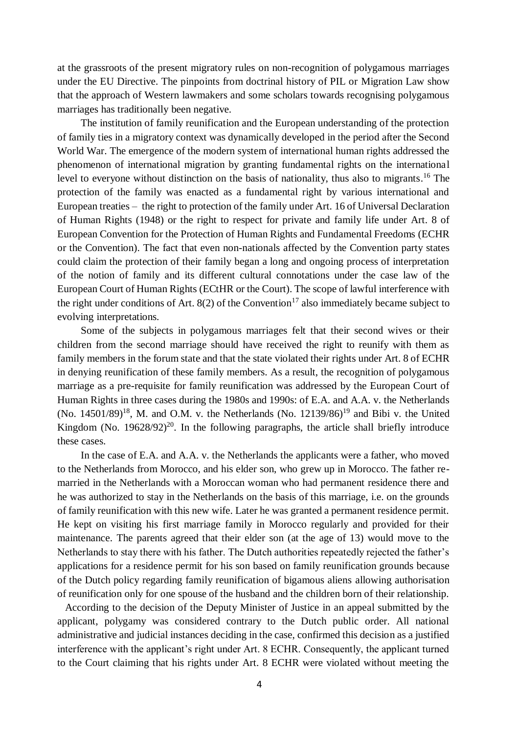at the grassroots of the present migratory rules on non-recognition of polygamous marriages under the EU Directive. The pinpoints from doctrinal history of PIL or Migration Law show that the approach of Western lawmakers and some scholars towards recognising polygamous marriages has traditionally been negative.

The institution of family reunification and the European understanding of the protection of family ties in a migratory context was dynamically developed in the period after the Second World War. The emergence of the modern system of international human rights addressed the phenomenon of international migration by granting fundamental rights on the international level to everyone without distinction on the basis of nationality, thus also to migrants.<sup>16</sup> The protection of the family was enacted as a fundamental right by various international and European treaties – the right to protection of the family under Art. 16 of Universal Declaration of Human Rights (1948) or the right to respect for private and family life under Art. 8 of European Convention for the Protection of Human Rights and Fundamental Freedoms (ECHR or the Convention). The fact that even non-nationals affected by the Convention party states could claim the protection of their family began a long and ongoing process of interpretation of the notion of family and its different cultural connotations under the case law of the European Court of Human Rights (ECtHR or the Court). The scope of lawful interference with the right under conditions of Art. 8(2) of the Convention<sup>17</sup> also immediately became subject to evolving interpretations.

Some of the subjects in polygamous marriages felt that their second wives or their children from the second marriage should have received the right to reunify with them as family members in the forum state and that the state violated their rights under Art. 8 of ECHR in denying reunification of these family members. As a result, the recognition of polygamous marriage as a pre-requisite for family reunification was addressed by the European Court of Human Rights in three cases during the 1980s and 1990s: of E.A. and A.A. v. the Netherlands (No.  $14501/89$ )<sup>18</sup>, M. and O.M. v. the Netherlands (No.  $12139/86$ )<sup>19</sup> and Bibi v. the United Kingdom (No.  $19628/92$ )<sup>20</sup>. In the following paragraphs, the article shall briefly introduce these cases.

In the case of E.A. and A.A. v. the Netherlands the applicants were a father, who moved to the Netherlands from Morocco, and his elder son, who grew up in Morocco. The father remarried in the Netherlands with a Moroccan woman who had permanent residence there and he was authorized to stay in the Netherlands on the basis of this marriage, i.e. on the grounds of family reunification with this new wife. Later he was granted a permanent residence permit. He kept on visiting his first marriage family in Morocco regularly and provided for their maintenance. The parents agreed that their elder son (at the age of 13) would move to the Netherlands to stay there with his father. The Dutch authorities repeatedly rejected the father's applications for a residence permit for his son based on family reunification grounds because of the Dutch policy regarding family reunification of bigamous aliens allowing authorisation of reunification only for one spouse of the husband and the children born of their relationship.

According to the decision of the Deputy Minister of Justice in an appeal submitted by the applicant, polygamy was considered contrary to the Dutch public order. All national administrative and judicial instances deciding in the case, confirmed this decision as a justified interference with the applicant's right under Art. 8 ECHR. Consequently, the applicant turned to the Court claiming that his rights under Art. 8 ECHR were violated without meeting the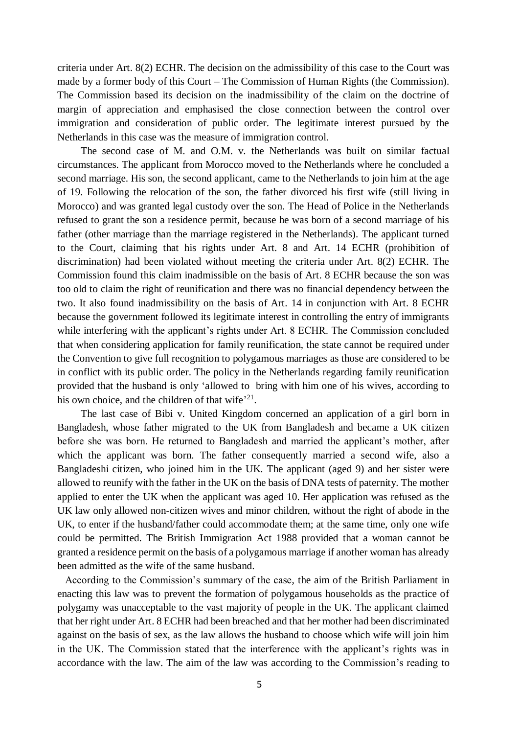criteria under Art. 8(2) ECHR. The decision on the admissibility of this case to the Court was made by a former body of this Court – The Commission of Human Rights (the Commission). The Commission based its decision on the inadmissibility of the claim on the doctrine of margin of appreciation and emphasised the close connection between the control over immigration and consideration of public order. The legitimate interest pursued by the Netherlands in this case was the measure of immigration control.

The second case of M. and O.M. v. the Netherlands was built on similar factual circumstances. The applicant from Morocco moved to the Netherlands where he concluded a second marriage. His son, the second applicant, came to the Netherlands to join him at the age of 19. Following the relocation of the son, the father divorced his first wife (still living in Morocco) and was granted legal custody over the son. The Head of Police in the Netherlands refused to grant the son a residence permit, because he was born of a second marriage of his father (other marriage than the marriage registered in the Netherlands). The applicant turned to the Court, claiming that his rights under Art. 8 and Art. 14 ECHR (prohibition of discrimination) had been violated without meeting the criteria under Art. 8(2) ECHR. The Commission found this claim inadmissible on the basis of Art. 8 ECHR because the son was too old to claim the right of reunification and there was no financial dependency between the two. It also found inadmissibility on the basis of Art. 14 in conjunction with Art. 8 ECHR because the government followed its legitimate interest in controlling the entry of immigrants while interfering with the applicant's rights under Art. 8 ECHR. The Commission concluded that when considering application for family reunification, the state cannot be required under the Convention to give full recognition to polygamous marriages as those are considered to be in conflict with its public order. The policy in the Netherlands regarding family reunification provided that the husband is only 'allowed to bring with him one of his wives, according to his own choice, and the children of that wife<sup>'21</sup>.

The last case of Bibi v. United Kingdom concerned an application of a girl born in Bangladesh, whose father migrated to the UK from Bangladesh and became a UK citizen before she was born. He returned to Bangladesh and married the applicant's mother, after which the applicant was born. The father consequently married a second wife, also a Bangladeshi citizen, who joined him in the UK. The applicant (aged 9) and her sister were allowed to reunify with the father in the UK on the basis of DNA tests of paternity. The mother applied to enter the UK when the applicant was aged 10. Her application was refused as the UK law only allowed non-citizen wives and minor children, without the right of abode in the UK, to enter if the husband/father could accommodate them; at the same time, only one wife could be permitted. The British Immigration Act 1988 provided that a woman cannot be granted a residence permit on the basis of a polygamous marriage if another woman has already been admitted as the wife of the same husband.

According to the Commission's summary of the case, the aim of the British Parliament in enacting this law was to prevent the formation of polygamous households as the practice of polygamy was unacceptable to the vast majority of people in the UK. The applicant claimed that her right under Art. 8 ECHR had been breached and that her mother had been discriminated against on the basis of sex, as the law allows the husband to choose which wife will join him in the UK. The Commission stated that the interference with the applicant's rights was in accordance with the law. The aim of the law was according to the Commission's reading to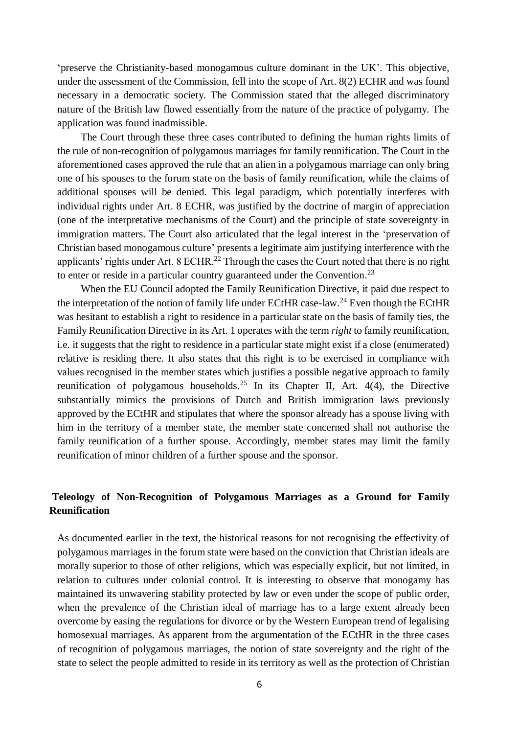'preserve the Christianity-based monogamous culture dominant in the UK'. This objective, under the assessment of the Commission, fell into the scope of Art. 8(2) ECHR and was found necessary in a democratic society. The Commission stated that the alleged discriminatory nature of the British law flowed essentially from the nature of the practice of polygamy. The application was found inadmissible.

The Court through these three cases contributed to defining the human rights limits of the rule of non-recognition of polygamous marriages for family reunification. The Court in the aforementioned cases approved the rule that an alien in a polygamous marriage can only bring one of his spouses to the forum state on the basis of family reunification, while the claims of additional spouses will be denied. This legal paradigm, which potentially interferes with individual rights under Art. 8 ECHR, was justified by the doctrine of margin of appreciation (one of the interpretative mechanisms of the Court) and the principle of state sovereignty in immigration matters. The Court also articulated that the legal interest in the 'preservation of Christian based monogamous culture' presents a legitimate aim justifying interference with the applicants' rights under Art. 8 ECHR.<sup>22</sup> Through the cases the Court noted that there is no right to enter or reside in a particular country guaranteed under the Convention.<sup>23</sup>

When the EU Council adopted the Family Reunification Directive, it paid due respect to the interpretation of the notion of family life under ECtHR case-law.<sup>24</sup> Even though the ECtHR was hesitant to establish a right to residence in a particular state on the basis of family ties, the Family Reunification Directive in its Art. 1 operates with the term *right* to family reunification, i.e. it suggests that the right to residence in a particular state might exist if a close (enumerated) relative is residing there. It also states that this right is to be exercised in compliance with values recognised in the member states which justifies a possible negative approach to family reunification of polygamous households.<sup>25</sup> In its Chapter II, Art.  $4(4)$ , the Directive substantially mimics the provisions of Dutch and British immigration laws previously approved by the ECtHR and stipulates that where the sponsor already has a spouse living with him in the territory of a member state, the member state concerned shall not authorise the family reunification of a further spouse. Accordingly, member states may limit the family reunification of minor children of a further spouse and the sponsor.

### **Teleology of Non-Recognition of Polygamous Marriages as a Ground for Family Reunification**

As documented earlier in the text, the historical reasons for not recognising the effectivity of polygamous marriages in the forum state were based on the conviction that Christian ideals are morally superior to those of other religions, which was especially explicit, but not limited, in relation to cultures under colonial control. It is interesting to observe that monogamy has maintained its unwavering stability protected by law or even under the scope of public order, when the prevalence of the Christian ideal of marriage has to a large extent already been overcome by easing the regulations for divorce or by the Western European trend of legalising homosexual marriages. As apparent from the argumentation of the ECtHR in the three cases of recognition of polygamous marriages, the notion of state sovereignty and the right of the state to select the people admitted to reside in its territory as well as the protection of Christian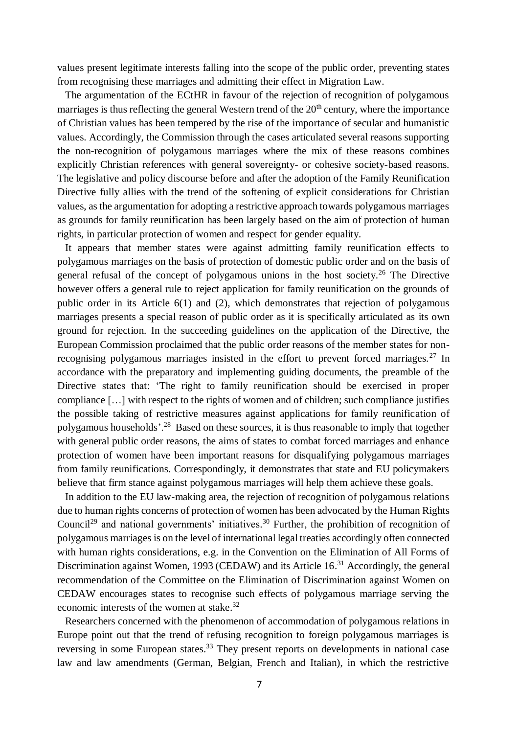values present legitimate interests falling into the scope of the public order, preventing states from recognising these marriages and admitting their effect in Migration Law.

The argumentation of the ECtHR in favour of the rejection of recognition of polygamous marriages is thus reflecting the general Western trend of the  $20<sup>th</sup>$  century, where the importance of Christian values has been tempered by the rise of the importance of secular and humanistic values. Accordingly, the Commission through the cases articulated several reasons supporting the non-recognition of polygamous marriages where the mix of these reasons combines explicitly Christian references with general sovereignty- or cohesive society-based reasons. The legislative and policy discourse before and after the adoption of the Family Reunification Directive fully allies with the trend of the softening of explicit considerations for Christian values, as the argumentation for adopting a restrictive approach towards polygamous marriages as grounds for family reunification has been largely based on the aim of protection of human rights, in particular protection of women and respect for gender equality.

It appears that member states were against admitting family reunification effects to polygamous marriages on the basis of protection of domestic public order and on the basis of general refusal of the concept of polygamous unions in the host society. <sup>26</sup> The Directive however offers a general rule to reject application for family reunification on the grounds of public order in its Article 6(1) and (2), which demonstrates that rejection of polygamous marriages presents a special reason of public order as it is specifically articulated as its own ground for rejection. In the succeeding guidelines on the application of the Directive, the European Commission proclaimed that the public order reasons of the member states for nonrecognising polygamous marriages insisted in the effort to prevent forced marriages.<sup>27</sup> In accordance with the preparatory and implementing guiding documents, the preamble of the Directive states that: 'The right to family reunification should be exercised in proper compliance […] with respect to the rights of women and of children; such compliance justifies the possible taking of restrictive measures against applications for family reunification of polygamous households'.<sup>28</sup> Based on these sources, it is thus reasonable to imply that together with general public order reasons, the aims of states to combat forced marriages and enhance protection of women have been important reasons for disqualifying polygamous marriages from family reunifications. Correspondingly, it demonstrates that state and EU policymakers believe that firm stance against polygamous marriages will help them achieve these goals.

In addition to the EU law-making area, the rejection of recognition of polygamous relations due to human rights concerns of protection of women has been advocated by the Human Rights Council<sup>29</sup> and national governments' initiatives.<sup>30</sup> Further, the prohibition of recognition of polygamous marriages is on the level of international legal treaties accordingly often connected with human rights considerations, e.g. in the Convention on the Elimination of All Forms of Discrimination against Women, 1993 (CEDAW) and its Article 16.<sup>31</sup> Accordingly, the general recommendation of the Committee on the Elimination of Discrimination against Women on CEDAW encourages states to recognise such effects of polygamous marriage serving the economic interests of the women at stake.<sup>32</sup>

Researchers concerned with the phenomenon of accommodation of polygamous relations in Europe point out that the trend of refusing recognition to foreign polygamous marriages is reversing in some European states.<sup>33</sup> They present reports on developments in national case law and law amendments (German, Belgian, French and Italian), in which the restrictive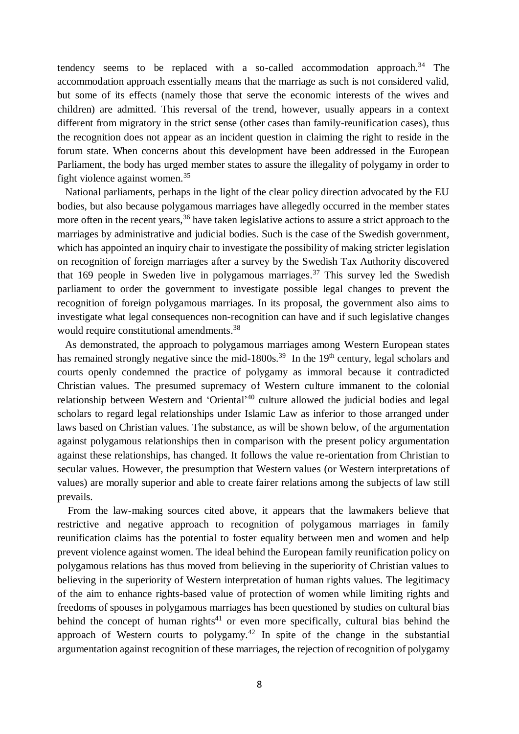tendency seems to be replaced with a so-called accommodation approach. <sup>34</sup> The accommodation approach essentially means that the marriage as such is not considered valid, but some of its effects (namely those that serve the economic interests of the wives and children) are admitted. This reversal of the trend, however, usually appears in a context different from migratory in the strict sense (other cases than family-reunification cases), thus the recognition does not appear as an incident question in claiming the right to reside in the forum state. When concerns about this development have been addressed in the European Parliament, the body has urged member states to assure the illegality of polygamy in order to fight violence against women. 35

National parliaments, perhaps in the light of the clear policy direction advocated by the EU bodies, but also because polygamous marriages have allegedly occurred in the member states more often in the recent years,<sup>36</sup> have taken legislative actions to assure a strict approach to the marriages by administrative and judicial bodies. Such is the case of the Swedish government, which has appointed an inquiry chair to investigate the possibility of making stricter legislation on recognition of foreign marriages after a survey by the Swedish Tax Authority discovered that 169 people in Sweden live in polygamous marriages. <sup>37</sup> This survey led the Swedish parliament to order the government to investigate possible legal changes to prevent the recognition of foreign polygamous marriages. In its proposal, the government also aims to investigate what legal consequences non-recognition can have and if such legislative changes would require constitutional amendments.<sup>38</sup>

As demonstrated, the approach to polygamous marriages among Western European states has remained strongly negative since the mid-1800s.<sup>39</sup> In the 19<sup>th</sup> century, legal scholars and courts openly condemned the practice of polygamy as immoral because it contradicted Christian values. The presumed supremacy of Western culture immanent to the colonial relationship between Western and 'Oriental'<sup>40</sup> culture allowed the judicial bodies and legal scholars to regard legal relationships under Islamic Law as inferior to those arranged under laws based on Christian values. The substance, as will be shown below, of the argumentation against polygamous relationships then in comparison with the present policy argumentation against these relationships, has changed. It follows the value re-orientation from Christian to secular values. However, the presumption that Western values (or Western interpretations of values) are morally superior and able to create fairer relations among the subjects of law still prevails.

From the law-making sources cited above, it appears that the lawmakers believe that restrictive and negative approach to recognition of polygamous marriages in family reunification claims has the potential to foster equality between men and women and help prevent violence against women. The ideal behind the European family reunification policy on polygamous relations has thus moved from believing in the superiority of Christian values to believing in the superiority of Western interpretation of human rights values. The legitimacy of the aim to enhance rights-based value of protection of women while limiting rights and freedoms of spouses in polygamous marriages has been questioned by studies on cultural bias behind the concept of human rights<sup>41</sup> or even more specifically, cultural bias behind the approach of Western courts to polygamy.<sup>42</sup> In spite of the change in the substantial argumentation against recognition of these marriages, the rejection of recognition of polygamy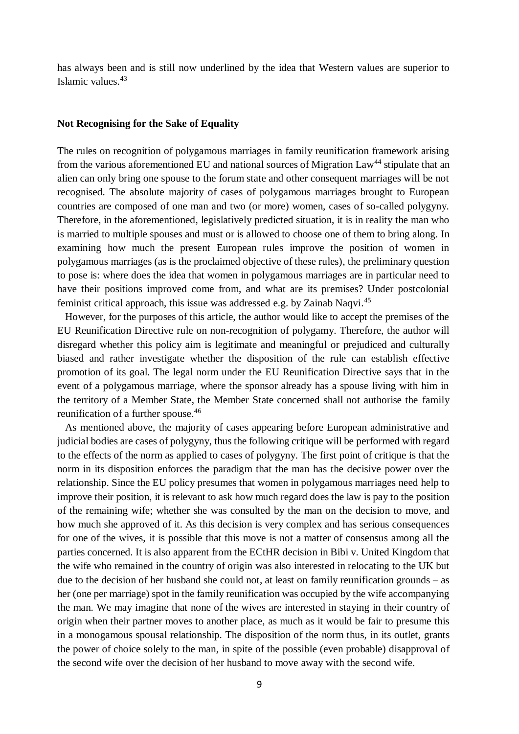has always been and is still now underlined by the idea that Western values are superior to Islamic values. 43

#### **Not Recognising for the Sake of Equality**

The rules on recognition of polygamous marriages in family reunification framework arising from the various aforementioned EU and national sources of Migration Law<sup>44</sup> stipulate that an alien can only bring one spouse to the forum state and other consequent marriages will be not recognised. The absolute majority of cases of polygamous marriages brought to European countries are composed of one man and two (or more) women, cases of so-called polygyny. Therefore, in the aforementioned, legislatively predicted situation, it is in reality the man who is married to multiple spouses and must or is allowed to choose one of them to bring along. In examining how much the present European rules improve the position of women in polygamous marriages (as is the proclaimed objective of these rules), the preliminary question to pose is: where does the idea that women in polygamous marriages are in particular need to have their positions improved come from, and what are its premises? Under postcolonial feminist critical approach, this issue was addressed e.g. by Zainab Naqvi.<sup>45</sup>

However, for the purposes of this article, the author would like to accept the premises of the EU Reunification Directive rule on non-recognition of polygamy. Therefore, the author will disregard whether this policy aim is legitimate and meaningful or prejudiced and culturally biased and rather investigate whether the disposition of the rule can establish effective promotion of its goal. The legal norm under the EU Reunification Directive says that in the event of a polygamous marriage, where the sponsor already has a spouse living with him in the territory of a Member State, the Member State concerned shall not authorise the family reunification of a further spouse. 46

As mentioned above, the majority of cases appearing before European administrative and judicial bodies are cases of polygyny, thus the following critique will be performed with regard to the effects of the norm as applied to cases of polygyny. The first point of critique is that the norm in its disposition enforces the paradigm that the man has the decisive power over the relationship. Since the EU policy presumes that women in polygamous marriages need help to improve their position, it is relevant to ask how much regard does the law is pay to the position of the remaining wife; whether she was consulted by the man on the decision to move, and how much she approved of it. As this decision is very complex and has serious consequences for one of the wives, it is possible that this move is not a matter of consensus among all the parties concerned. It is also apparent from the ECtHR decision in Bibi v. United Kingdom that the wife who remained in the country of origin was also interested in relocating to the UK but due to the decision of her husband she could not, at least on family reunification grounds – as her (one per marriage) spot in the family reunification was occupied by the wife accompanying the man. We may imagine that none of the wives are interested in staying in their country of origin when their partner moves to another place, as much as it would be fair to presume this in a monogamous spousal relationship. The disposition of the norm thus, in its outlet, grants the power of choice solely to the man, in spite of the possible (even probable) disapproval of the second wife over the decision of her husband to move away with the second wife.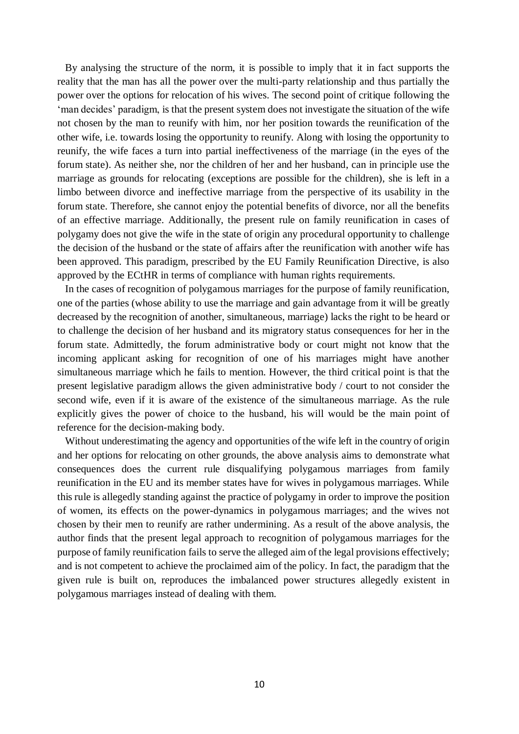By analysing the structure of the norm, it is possible to imply that it in fact supports the reality that the man has all the power over the multi-party relationship and thus partially the power over the options for relocation of his wives. The second point of critique following the 'man decides' paradigm, is that the present system does not investigate the situation of the wife not chosen by the man to reunify with him, nor her position towards the reunification of the other wife, i.e. towards losing the opportunity to reunify. Along with losing the opportunity to reunify, the wife faces a turn into partial ineffectiveness of the marriage (in the eyes of the forum state). As neither she, nor the children of her and her husband, can in principle use the marriage as grounds for relocating (exceptions are possible for the children), she is left in a limbo between divorce and ineffective marriage from the perspective of its usability in the forum state. Therefore, she cannot enjoy the potential benefits of divorce, nor all the benefits of an effective marriage. Additionally, the present rule on family reunification in cases of polygamy does not give the wife in the state of origin any procedural opportunity to challenge the decision of the husband or the state of affairs after the reunification with another wife has been approved. This paradigm, prescribed by the EU Family Reunification Directive, is also approved by the ECtHR in terms of compliance with human rights requirements.

In the cases of recognition of polygamous marriages for the purpose of family reunification, one of the parties (whose ability to use the marriage and gain advantage from it will be greatly decreased by the recognition of another, simultaneous, marriage) lacks the right to be heard or to challenge the decision of her husband and its migratory status consequences for her in the forum state. Admittedly, the forum administrative body or court might not know that the incoming applicant asking for recognition of one of his marriages might have another simultaneous marriage which he fails to mention. However, the third critical point is that the present legislative paradigm allows the given administrative body / court to not consider the second wife, even if it is aware of the existence of the simultaneous marriage. As the rule explicitly gives the power of choice to the husband, his will would be the main point of reference for the decision-making body.

Without underestimating the agency and opportunities of the wife left in the country of origin and her options for relocating on other grounds, the above analysis aims to demonstrate what consequences does the current rule disqualifying polygamous marriages from family reunification in the EU and its member states have for wives in polygamous marriages. While this rule is allegedly standing against the practice of polygamy in order to improve the position of women, its effects on the power-dynamics in polygamous marriages; and the wives not chosen by their men to reunify are rather undermining. As a result of the above analysis, the author finds that the present legal approach to recognition of polygamous marriages for the purpose of family reunification fails to serve the alleged aim of the legal provisions effectively; and is not competent to achieve the proclaimed aim of the policy. In fact, the paradigm that the given rule is built on, reproduces the imbalanced power structures allegedly existent in polygamous marriages instead of dealing with them.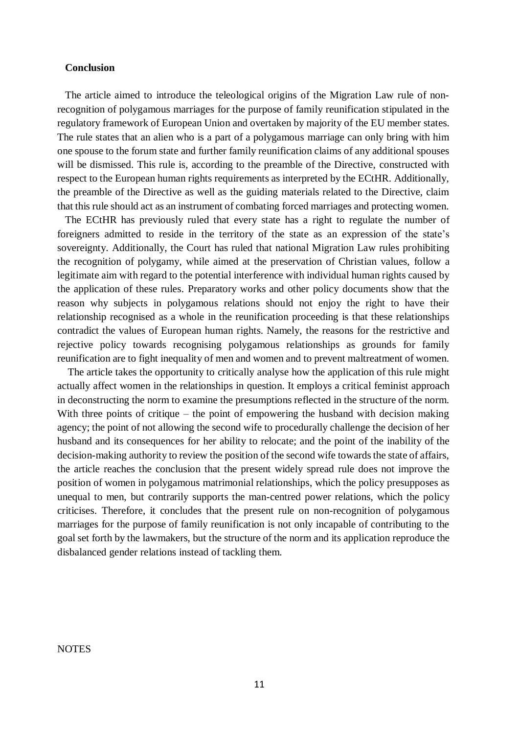#### **Conclusion**

The article aimed to introduce the teleological origins of the Migration Law rule of nonrecognition of polygamous marriages for the purpose of family reunification stipulated in the regulatory framework of European Union and overtaken by majority of the EU member states. The rule states that an alien who is a part of a polygamous marriage can only bring with him one spouse to the forum state and further family reunification claims of any additional spouses will be dismissed. This rule is, according to the preamble of the Directive, constructed with respect to the European human rights requirements as interpreted by the ECtHR. Additionally, the preamble of the Directive as well as the guiding materials related to the Directive, claim that this rule should act as an instrument of combating forced marriages and protecting women.

The ECtHR has previously ruled that every state has a right to regulate the number of foreigners admitted to reside in the territory of the state as an expression of the state's sovereignty. Additionally, the Court has ruled that national Migration Law rules prohibiting the recognition of polygamy, while aimed at the preservation of Christian values, follow a legitimate aim with regard to the potential interference with individual human rights caused by the application of these rules. Preparatory works and other policy documents show that the reason why subjects in polygamous relations should not enjoy the right to have their relationship recognised as a whole in the reunification proceeding is that these relationships contradict the values of European human rights. Namely, the reasons for the restrictive and rejective policy towards recognising polygamous relationships as grounds for family reunification are to fight inequality of men and women and to prevent maltreatment of women.

The article takes the opportunity to critically analyse how the application of this rule might actually affect women in the relationships in question. It employs a critical feminist approach in deconstructing the norm to examine the presumptions reflected in the structure of the norm. With three points of critique – the point of empowering the husband with decision making agency; the point of not allowing the second wife to procedurally challenge the decision of her husband and its consequences for her ability to relocate; and the point of the inability of the decision-making authority to review the position of the second wife towards the state of affairs, the article reaches the conclusion that the present widely spread rule does not improve the position of women in polygamous matrimonial relationships, which the policy presupposes as unequal to men, but contrarily supports the man-centred power relations, which the policy criticises. Therefore, it concludes that the present rule on non-recognition of polygamous marriages for the purpose of family reunification is not only incapable of contributing to the goal set forth by the lawmakers, but the structure of the norm and its application reproduce the disbalanced gender relations instead of tackling them.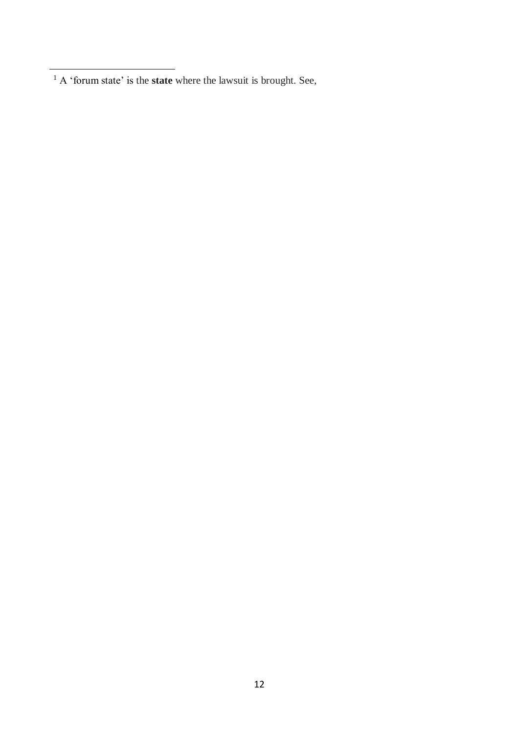$\overline{a}$ 

<sup>&</sup>lt;sup>1</sup> A 'forum state' is the **state** where the lawsuit is brought. See,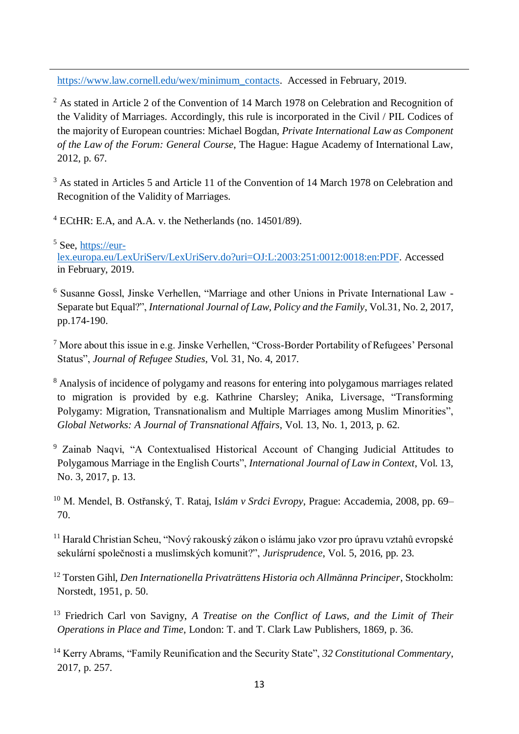[https://www.law.cornell.edu/wex/minimum\\_contacts.](https://www.law.cornell.edu/wex/minimum_contacts) Accessed in February, 2019.

<sup>2</sup> As stated in Article 2 of the Convention of 14 March 1978 on Celebration and Recognition of the Validity of Marriages. Accordingly, this rule is incorporated in the Civil / PIL Codices of the majority of European countries: Michael Bogdan, *Private International Law as Component of the Law of the Forum: General Course*, The Hague: Hague Academy of International Law, 2012, p. 67.

<sup>3</sup> As stated in Articles 5 and Article 11 of the Convention of 14 March 1978 on Celebration and Recognition of the Validity of Marriages.

<sup>4</sup> ECtHR: E.A, and A.A. v. the Netherlands (no. 14501/89).

 $\ddot{ }$ 

 $5$  See, [https://eur](https://eur-lex.europa.eu/LexUriServ/LexUriServ.do?uri=OJ:L:2003:251:0012:0018:en:PDF)[lex.europa.eu/LexUriServ/LexUriServ.do?uri=OJ:L:2003:251:0012:0018:en:PDF.](https://eur-lex.europa.eu/LexUriServ/LexUriServ.do?uri=OJ:L:2003:251:0012:0018:en:PDF) Accessed in February, 2019.

<sup>6</sup> Susanne Gossl, Jinske Verhellen, "Marriage and other Unions in Private International Law - Separate but Equal?", *International Journal of Law, Policy and the Family*, Vol.31, No. 2, 2017, pp.174-190.

<sup>7</sup> More about this issue in e.g. Jinske Verhellen, "Cross-Border Portability of Refugees' Personal Status", *Journal of Refugee Studies*, Vol. 31, No. 4, 2017.

<sup>8</sup> Analysis of incidence of polygamy and reasons for entering into polygamous marriages related to migration is provided by e.g. Kathrine Charsley; Anika, Liversage, "Transforming Polygamy: Migration, Transnationalism and Multiple Marriages among Muslim Minorities", *Global Networks: A Journal of Transnational Affairs*, Vol. 13, No. 1, 2013, p. 62.

<sup>9</sup> Zainab Naqvi, "A Contextualised Historical Account of Changing Judicial Attitudes to Polygamous Marriage in the English Courts", *International Journal of Law in Context*, Vol. 13, No. 3, 2017, p. 13.

<sup>10</sup> M. Mendel, B. Ostřanský, T. Rataj, I*slám v Srdci Evropy*, Prague: Accademia, 2008, pp. 69– 70.

<sup>11</sup> Harald Christian Scheu, "Nový rakouský zákon o islámu jako vzor pro úpravu vztahů evropské sekulární společnosti a muslimských komunit?", *Jurisprudence*, Vol. 5, 2016, pp. 23.

<sup>12</sup> Torsten Gihl, *Den Internationella Privaträttens Historia och Allmänna Principer*, Stockholm: Norstedt, 1951, p. 50.

<sup>13</sup> Friedrich Carl von Savigny, *A Treatise on the Conflict of Laws, and the Limit of Their Operations in Place and Time*, London: T. and T. Clark Law Publishers, 1869, p. 36.

<sup>14</sup> Kerry Abrams, "Family Reunification and the Security State", *32 Constitutional Commentary*, 2017, p. 257.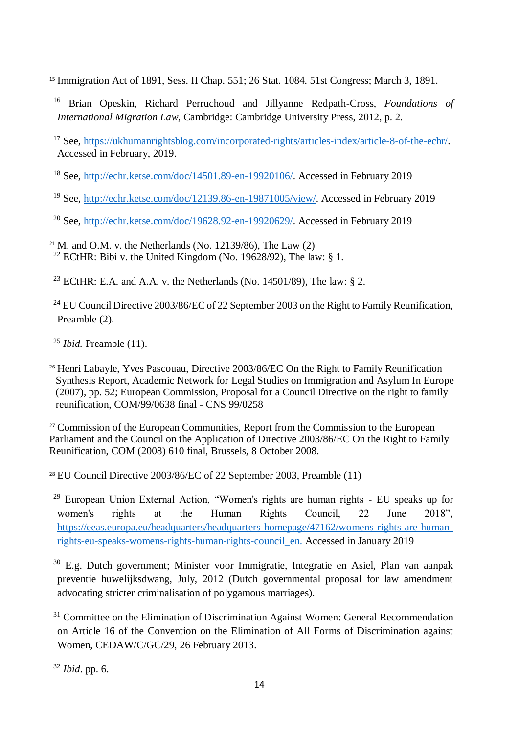$\ddot{ }$ <sup>15</sup> Immigration Act of 1891, Sess. II Chap. 551; 26 Stat. 1084. 51st Congress; March 3, 1891.

<sup>16</sup> Brian Opeskin, Richard Perruchoud and Jillyanne Redpath-Cross, *Foundations of International Migration Law*, Cambridge: Cambridge University Press, 2012, p. 2.

<sup>17</sup> See, [https://ukhumanrightsblog.com/incorporated-rights/articles-index/article-8-of-the-echr/.](https://ukhumanrightsblog.com/incorporated-rights/articles-index/article-8-of-the-echr/) Accessed in February, 2019.

<sup>18</sup> See, [http://echr.ketse.com/doc/14501.89-en-19920106/.](http://echr.ketse.com/doc/14501.89-en-19920106/) Accessed in February 2019

<sup>19</sup> See, [http://echr.ketse.com/doc/12139.86-en-19871005/view/.](http://echr.ketse.com/doc/12139.86-en-19871005/view/) Accessed in February 2019

<sup>20</sup> See, [http://echr.ketse.com/doc/19628.92-en-19920629/.](http://echr.ketse.com/doc/19628.92-en-19920629/) Accessed in February 2019

<sup>21</sup> M. and O.M. v. the Netherlands (No. 12139/86). The Law  $(2)$ <sup>22</sup> ECtHR: Bibi v. the United Kingdom (No. 19628/92), The law: § 1.

<sup>23</sup> ECtHR: E.A. and A.A. v. the Netherlands (No. 14501/89), The law: § 2.

<sup>24</sup> EU Council Directive 2003/86/EC of 22 September 2003 on the Right to Family Reunification, Preamble (2).

<sup>25</sup> *Ibid.* Preamble (11).

<sup>26</sup> Henri Labayle, Yves Pascouau, Directive 2003/86/EC On the Right to Family Reunification Synthesis Report, Academic Network for Legal Studies on Immigration and Asylum In Europe (2007), pp. 52; European Commission, Proposal for a Council Directive on the right to family reunification, COM/99/0638 final - CNS 99/0258

<sup>27</sup> Commission of the European Communities, Report from the Commission to the European Parliament and the Council on the Application of Directive 2003/86/EC On the Right to Family Reunification, COM (2008) 610 final, Brussels, 8 October 2008.

<sup>28</sup> EU Council Directive 2003/86/EC of 22 September 2003, Preamble (11)

<sup>29</sup> European Union External Action, "Women's rights are human rights - EU speaks up for women's rights at the Human Rights Council, 22 June 2018", [https://eeas.europa.eu/headquarters/headquarters-homepage/47162/womens-rights-are-human](https://eeas.europa.eu/headquarters/headquarters-homepage/47162/womens-rights-are-human-rights-eu-speaks-womens-rights-human-rights-council_en)[rights-eu-speaks-womens-rights-human-rights-council\\_en.](https://eeas.europa.eu/headquarters/headquarters-homepage/47162/womens-rights-are-human-rights-eu-speaks-womens-rights-human-rights-council_en) Accessed in January 2019

<sup>30</sup> E.g. Dutch government; Minister voor Immigratie, Integratie en Asiel, Plan van aanpak preventie huwelijksdwang, July, 2012 (Dutch governmental proposal for law amendment advocating stricter criminalisation of polygamous marriages).

 $31$  Committee on the Elimination of Discrimination Against Women: General Recommendation on Article 16 of the Convention on the Elimination of All Forms of Discrimination against Women, CEDAW/C/GC/29, 26 February 2013.

<sup>32</sup> *Ibid*. pp. 6.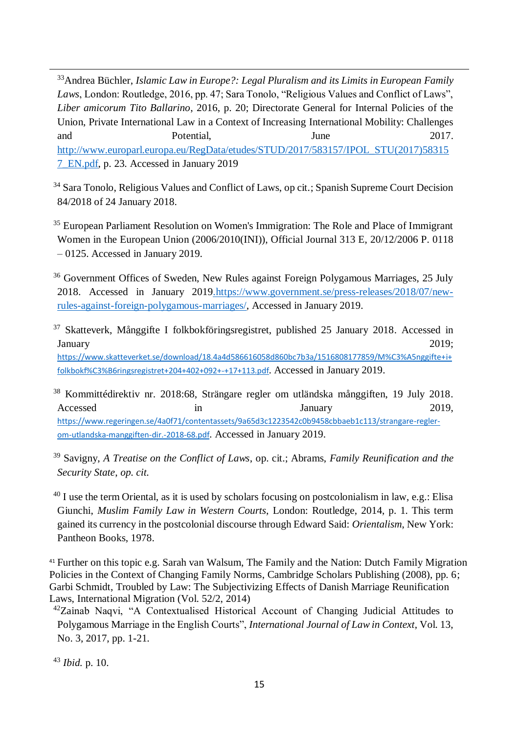<sup>33</sup>Andrea Büchler, *Islamic Law in Europe?: Legal Pluralism and its Limits in European Family Laws*, London: Routledge, 2016, pp. 47; Sara Tonolo, "Religious Values and Conflict of Laws", *Liber amicorum Tito Ballarino*, 2016, p. 20; Directorate General for Internal Policies of the Union, Private International Law in a Context of Increasing International Mobility: Challenges and Potential, June 2017. [http://www.europarl.europa.eu/RegData/etudes/STUD/2017/583157/IPOL\\_STU\(2017\)58315](http://www.europarl.europa.eu/RegData/etudes/STUD/2017/583157/IPOL_STU(2017)583157_EN.pdf) [7\\_EN.pdf,](http://www.europarl.europa.eu/RegData/etudes/STUD/2017/583157/IPOL_STU(2017)583157_EN.pdf) p. 23. Accessed in January 2019

<sup>34</sup> Sara Tonolo, Religious Values and Conflict of Laws, op cit.; Spanish Supreme Court Decision 84/2018 of 24 January 2018.

<sup>35</sup> European Parliament Resolution on Women's Immigration: The Role and Place of Immigrant Women in the European Union (2006/2010(INI)), Official Journal 313 E, 20/12/2006 P. 0118 – 0125. Accessed in January 2019.

<sup>36</sup> Government Offices of Sweden, New Rules against Foreign Polygamous Marriages, 25 July 2018. Accessed in January 2019[.https://www.government.se/press-releases/2018/07/new](https://www.government.se/press-releases/2018/07/new-rules-against-foreign-polygamous-marriages/)[rules-against-foreign-polygamous-marriages/,](https://www.government.se/press-releases/2018/07/new-rules-against-foreign-polygamous-marriages/) Accessed in January 2019.

 $37$  Skatteverk, Månggifte I folkbokföringsregistret, published 25 January 2018. Accessed in January 2019; [https://www.skatteverket.se/download/18.4a4d586616058d860bc7b3a/1516808177859/M%C3%A5nggifte+i+](https://www.skatteverket.se/download/18.4a4d586616058d860bc7b3a/1516808177859/M%C3%A5nggifte+i+folkbokf%C3%B6ringsregistret+204+402+092+-+17+113.pdf) [folkbokf%C3%B6ringsregistret+204+402+092+-+17+113.pdf](https://www.skatteverket.se/download/18.4a4d586616058d860bc7b3a/1516808177859/M%C3%A5nggifte+i+folkbokf%C3%B6ringsregistret+204+402+092+-+17+113.pdf). Accessed in January 2019.

<sup>38</sup> Kommittédirektiv nr. 2018:68, Strängare regler om utländska månggiften, 19 July 2018. Accessed in January 2019, [https://www.regeringen.se/4a0f71/contentassets/9a65d3c1223542c0b9458cbbaeb1c113/strangare-regler](https://www.regeringen.se/4a0f71/contentassets/9a65d3c1223542c0b9458cbbaeb1c113/strangare-regler-om-utlandska-manggiften-dir.-2018-68.pdf)[om-utlandska-manggiften-dir.-2018-68.pdf](https://www.regeringen.se/4a0f71/contentassets/9a65d3c1223542c0b9458cbbaeb1c113/strangare-regler-om-utlandska-manggiften-dir.-2018-68.pdf). Accessed in January 2019.

<sup>39</sup> Savigny, *A Treatise on the Conflict of Laws*, op. cit.; Abrams, *Family Reunification and the Security State*, *op. cit.*

 $^{40}$  I use the term Oriental, as it is used by scholars focusing on postcolonialism in law, e.g.: Elisa Giunchi, *Muslim Family Law in Western Courts*, London: Routledge, 2014, p. 1. This term gained its currency in the postcolonial discourse through Edward Said: *Orientalism*, New York: Pantheon Books, 1978.

<sup>41</sup> Further on this topic e.g. Sarah van Walsum, The Family and the Nation: Dutch Family Migration Policies in the Context of Changing Family Norms, Cambridge Scholars Publishing (2008), pp. 6; Garbi Schmidt, Troubled by Law: The Subjectivizing Effects of Danish Marriage Reunification Laws, International Migration (Vol. 52/2, 2014)

<sup>42</sup>Zainab Naqvi, "A Contextualised Historical Account of Changing Judicial Attitudes to Polygamous Marriage in the English Courts", *International Journal of Law in Context*, Vol. 13, No. 3, 2017, pp. 1-21.

<sup>43</sup> *Ibid.* p. 10.

 $\ddot{ }$